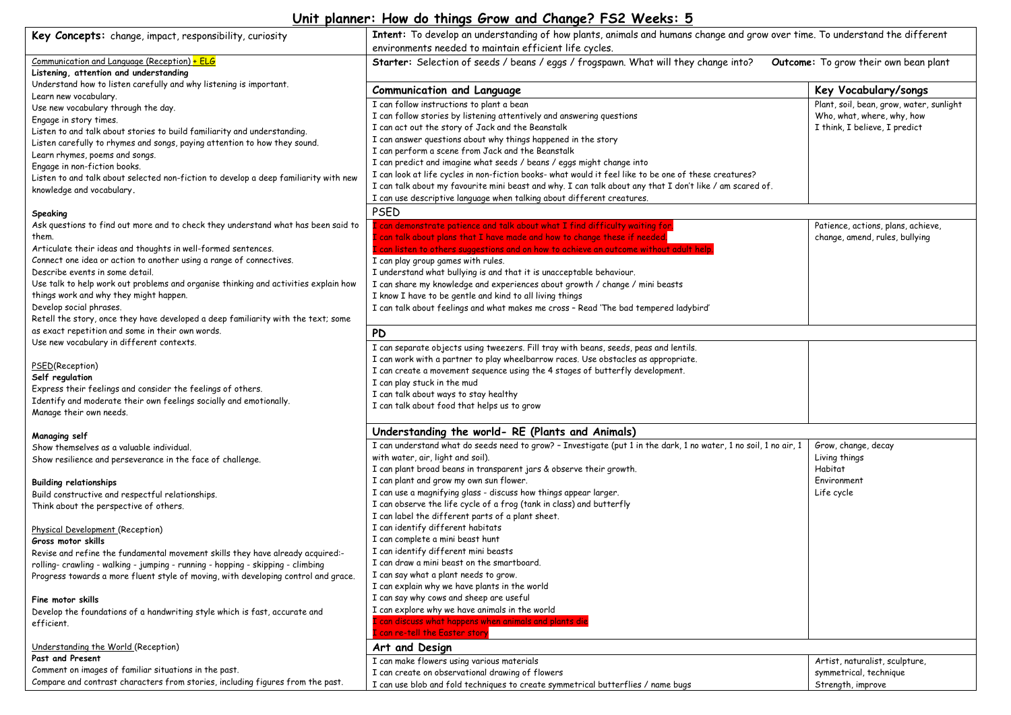## **Unit planner: How do things Grow and Change? FS2 Weeks: 5**

| Key Concepts: change, impact, responsibility, curiosity                                | Intent: To develop an understanding of how plants, animals and humans change and grow over time. To understand the different |                                          |  |  |
|----------------------------------------------------------------------------------------|------------------------------------------------------------------------------------------------------------------------------|------------------------------------------|--|--|
|                                                                                        | environments needed to maintain efficient life cycles.                                                                       |                                          |  |  |
| Communication and Language (Reception) + ELG<br>Listening, attention and understanding | Starter: Selection of seeds / beans / eggs / frogspawn. What will they change into?<br>Outcome: To grow their own bean plant |                                          |  |  |
| Understand how to listen carefully and why listening is important.                     | <b>Communication and Language</b>                                                                                            | Key Vocabulary/songs                     |  |  |
| Learn new vocabulary.                                                                  | I can follow instructions to plant a bean                                                                                    | Plant, soil, bean, grow, water, sunlight |  |  |
| Use new vocabulary through the day.                                                    | I can follow stories by listening attentively and answering questions                                                        | Who, what, where, why, how               |  |  |
| Engage in story times.                                                                 | I can act out the story of Jack and the Beanstalk                                                                            | I think, I believe, I predict            |  |  |
| Listen to and talk about stories to build familiarity and understanding.               | I can answer questions about why things happened in the story                                                                |                                          |  |  |
| Listen carefully to rhymes and songs, paying attention to how they sound.              | I can perform a scene from Jack and the Beanstalk                                                                            |                                          |  |  |
| Learn rhymes, poems and songs.                                                         | I can predict and imagine what seeds / beans / eggs might change into                                                        |                                          |  |  |
| Engage in non-fiction books.                                                           | I can look at life cycles in non-fiction books- what would it feel like to be one of these creatures?                        |                                          |  |  |
| Listen to and talk about selected non-fiction to develop a deep familiarity with new   | I can talk about my favourite mini beast and why. I can talk about any that I don't like / am scared of.                     |                                          |  |  |
| knowledge and vocabulary.                                                              | I can use descriptive language when talking about different creatures.                                                       |                                          |  |  |
|                                                                                        | PSED                                                                                                                         |                                          |  |  |
| Speaking                                                                               |                                                                                                                              |                                          |  |  |
| Ask questions to find out more and to check they understand what has been said to      | can demonstrate patience and talk about what I find difficulty waiting for.                                                  | Patience, actions, plans, achieve,       |  |  |
| them.                                                                                  | can talk about plans that I have made and how to change these if needed.                                                     | change, amend, rules, bullying           |  |  |
| Articulate their ideas and thoughts in well-formed sentences.                          | can listen to others suggestions and on how to achieve an outcome without adult help `                                       |                                          |  |  |
| Connect one idea or action to another using a range of connectives.                    | I can play group games with rules.                                                                                           |                                          |  |  |
| Describe events in some detail.                                                        | I understand what bullying is and that it is unacceptable behaviour.                                                         |                                          |  |  |
| Use talk to help work out problems and organise thinking and activities explain how    | I can share my knowledge and experiences about growth / change / mini beasts                                                 |                                          |  |  |
| things work and why they might happen.                                                 | I know I have to be gentle and kind to all living things                                                                     |                                          |  |  |
| Develop social phrases.                                                                | I can talk about feelings and what makes me cross - Read 'The bad tempered ladybird'                                         |                                          |  |  |
| Retell the story, once they have developed a deep familiarity with the text; some      |                                                                                                                              |                                          |  |  |
| as exact repetition and some in their own words.                                       | <b>PD</b>                                                                                                                    |                                          |  |  |
| Use new vocabulary in different contexts.                                              | I can separate objects using tweezers. Fill tray with beans, seeds, peas and lentils.                                        |                                          |  |  |
|                                                                                        | I can work with a partner to play wheelbarrow races. Use obstacles as appropriate.                                           |                                          |  |  |
| PSED(Reception)                                                                        | I can create a movement sequence using the 4 stages of butterfly development.                                                |                                          |  |  |
| Self regulation                                                                        | I can play stuck in the mud                                                                                                  |                                          |  |  |
| Express their feelings and consider the feelings of others.                            | I can talk about ways to stay healthy                                                                                        |                                          |  |  |
| Identify and moderate their own feelings socially and emotionally.                     | I can talk about food that helps us to grow                                                                                  |                                          |  |  |
| Manage their own needs.                                                                |                                                                                                                              |                                          |  |  |
| Managing self                                                                          | Understanding the world- RE (Plants and Animals)                                                                             |                                          |  |  |
| Show themselves as a valuable individual.                                              | I can understand what do seeds need to grow? - Investigate (put 1 in the dark, 1 no water, 1 no soil, 1 no air, 1            | Grow, change, decay                      |  |  |
| Show resilience and perseverance in the face of challenge.                             | with water, air, light and soil).                                                                                            | Living things                            |  |  |
|                                                                                        | I can plant broad beans in transparent jars & observe their growth.                                                          | Habitat                                  |  |  |
| <b>Building relationships</b>                                                          | I can plant and grow my own sun flower.                                                                                      | Environment                              |  |  |
| Build constructive and respectful relationships.                                       | I can use a magnifying glass - discuss how things appear larger.                                                             | Life cycle                               |  |  |
| Think about the perspective of others.                                                 | I can observe the life cycle of a frog (tank in class) and butterfly                                                         |                                          |  |  |
|                                                                                        | I can label the different parts of a plant sheet.                                                                            |                                          |  |  |
| Physical Development (Reception)                                                       | I can identify different habitats                                                                                            |                                          |  |  |
| Gross motor skills                                                                     | I can complete a mini beast hunt                                                                                             |                                          |  |  |
| Revise and refine the fundamental movement skills they have already acquired:-         | I can identify different mini beasts                                                                                         |                                          |  |  |
| rolling- crawling - walking - jumping - running - hopping - skipping - climbing        | I can draw a mini beast on the smartboard.                                                                                   |                                          |  |  |
| Progress towards a more fluent style of moving, with developing control and grace.     | I can say what a plant needs to grow.                                                                                        |                                          |  |  |
|                                                                                        | I can explain why we have plants in the world                                                                                |                                          |  |  |
| Fine motor skills                                                                      | I can say why cows and sheep are useful                                                                                      |                                          |  |  |
| Develop the foundations of a handwriting style which is fast, accurate and             | I can explore why we have animals in the world                                                                               |                                          |  |  |
| efficient.                                                                             | can discuss what happens when animals and plants die                                                                         |                                          |  |  |
|                                                                                        | C can re-tell the Easter story                                                                                               |                                          |  |  |
| Understanding the World (Reception)                                                    | Art and Design                                                                                                               |                                          |  |  |
| Past and Present                                                                       | I can make flowers using various materials                                                                                   | Artist, naturalist, sculpture,           |  |  |
| Comment on images of familiar situations in the past.                                  | I can create on observational drawing of flowers                                                                             | symmetrical, technique                   |  |  |
| Compare and contrast characters from stories, including figures from the past.         | I can use blob and fold techniques to create symmetrical butterflies / name bugs                                             | Strength, improve                        |  |  |